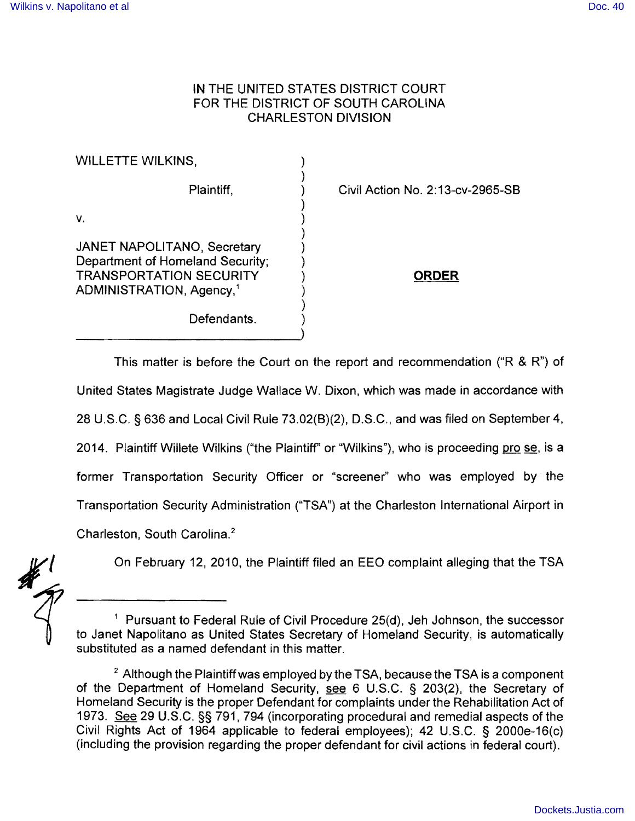## **IN** THE UNITED STATES DISTRICT COURT FOR THE DISTRICT OF SOUTH CAROLINA CHARLESTON DIVISION

| <b>WILLETTE WILKINS,</b>                                                                                                                  |                                  |
|-------------------------------------------------------------------------------------------------------------------------------------------|----------------------------------|
| Plaintiff,                                                                                                                                | Civil Action No. 2:13-cv-2965-SB |
| v.                                                                                                                                        |                                  |
| JANET NAPOLITANO, Secretary<br>Department of Homeland Security;<br><b>TRANSPORTATION SECURITY</b><br>ADMINISTRATION, Agency, <sup>1</sup> | <b>ORDER</b>                     |
| Defendants.                                                                                                                               |                                  |
|                                                                                                                                           |                                  |

This matter is before the Court on the report and recommendation ("R & R") of United States Magistrate Judge Wallace W. Dixon, which was made in accordance with 28 U.S.C. § 636 and Local Civil Rule 73.02(8)(2), D.S.C., and was filed on September 4, 2014. Plaintiff Willete Wilkins ("the Plaintiff" or "Wilkins"), who is proceeding pro se, is a former Transportation Security Officer or "screener" who was employed by the Transportation Security Administration ("TSA") at the Charleston International Airport in Charleston, South Carolina.<sup>2</sup>

On February 12, 2010, the Plaintiff filed an EEO complaint alleging that the TSA

<sup>1</sup> Pursuant to Federal Rule of Civil Procedure 25(d), Jeh Johnson, the successor to Janet Napolitano as United States Secretary of Homeland Security, is automatically substituted as a named defendant in this matter.

 $2$  Although the Plaintiff was employed by the TSA, because the TSA is a component of the Department of Homeland Security, see 6 U.S.C. § 203(2), the Secretary of Homeland Security is the proper Defendant for complaints under the Rehabilitation Act of 1973. See 29 U.S.C. §§ 791, 794 (incorporating procedural and remedial aspects of the Civil Rights Act of 1964 applicable to federal employees); 42 U.S.C. § 2000e-16(c) (including the provision regarding the proper defendant for civil actions in federal court).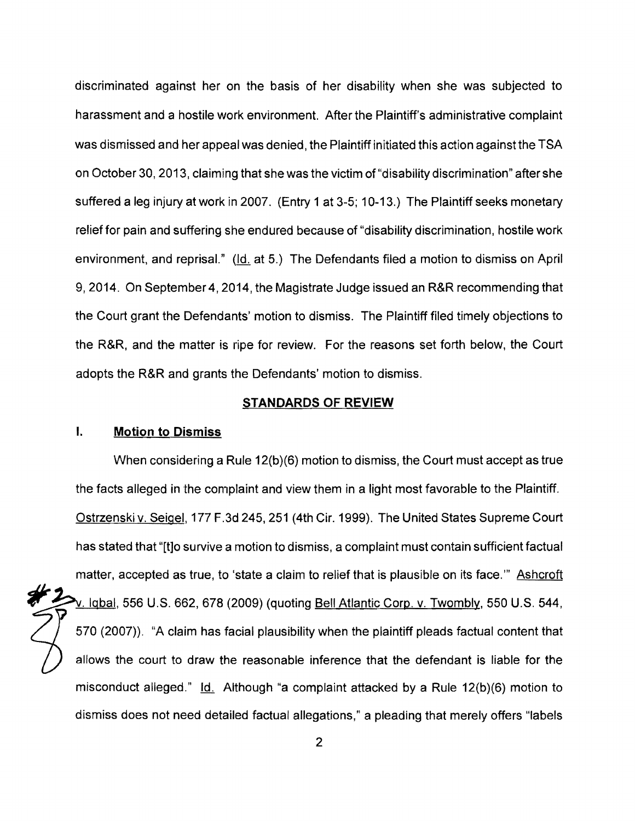discriminated against her on the basis of her disability when she was subjected to harassment and a hostile work environment. After the Plaintiff's administrative complaint was dismissed and her appeal was denied, the Plaintiff initiated this action against the TSA on October 30, 2013, claiming that she was the victim of "disability discrimination" after she suffered a leg injury at work in 2007. (Entry 1 at 3-5; 10-13.) The Plaintiff seeks monetary relief for pain and suffering she endured because of "disability discrimination, hostile work environment, and reprisal." (Id. at 5.) The Defendants filed a motion to dismiss on April 9,2014. On September 4, 2014, the Magistrate Judge issued an R&R recommending that the Court grant the Defendants' motion to dismiss. The Plaintiff filed timely objections to the R&R, and the matter is ripe for review. For the reasons set forth below, the Court adopts the R&R and grants the Defendants' motion to dismiss.

#### **STANDARDS OF REVIEW**

## **I. Motion to Dismiss**

When considering a Rule 12(b)(6) motion to dismiss, the Court must accept as true the facts alleged in the complaint and view them in a light most favorable to the Plaintiff. Ostrzenski v. Seigel, 177 F.3d 245, 251 (4th Cir. 1999). The United States Supreme Court has stated that "[t]o survive a motion to dismiss, a complaint must contain sufficient factual matter, accepted as true, to 'state a claim to relief that is plausible on its face.'" Ashcroft . Iqbal, 556 U.S. 662, 678 (2009) (quoting Bell Atlantic Corp. v. Twombly, 550 U.S. 544, 570 (2007)). "A claim has facial plausibility when the plaintiff pleads factual content that llows the court to draw the reasonable inference that the defendant is liable for the misconduct alleged."  $\underline{Id}$ . Although "a complaint attacked by a Rule 12(b)(6) motion to dismiss does not need detailed factual allegations," a pleading that merely offers "labels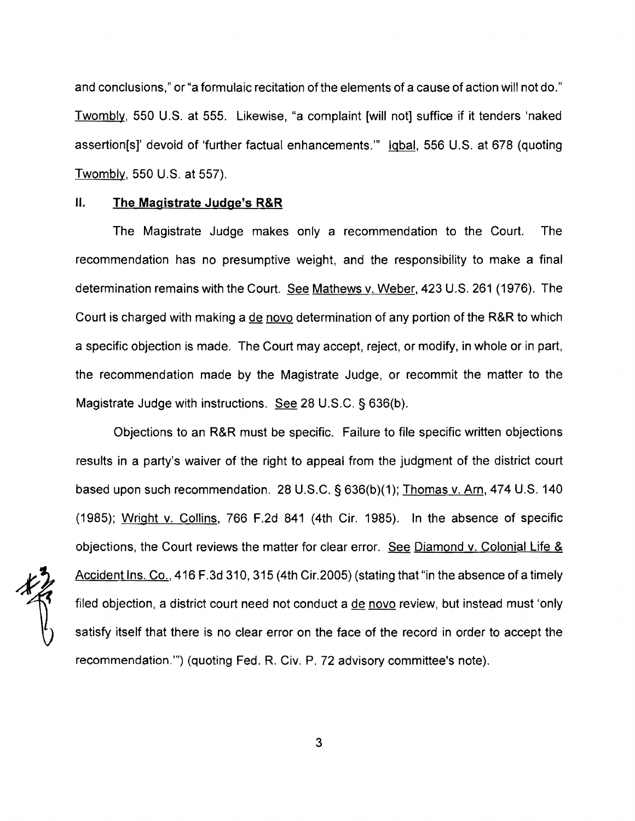and conclusions," or "a formulaic recitation of the elements of a cause of action will not do." Twombly, 550 U.S. at 555. Likewise, "a complaint [will not] suffice if it tenders 'naked assertion[s]' devoid of 'further factual enhancements.'" Iqbal, 556 U.S. at 678 (quoting Twombly, 550 U.S. at 557).

## II. **The Magistrate Judge's R&R**

The Magistrate Judge makes only a recommendation to the Court. The recommendation has no presumptive weight, and the responsibility to make a final determination remains with the Court. See Mathews v. Weber, 423 U.S. 261 (1976). The Court is charged with making a de novo determination of any portion of the R&R to which a specific objection is made. The Court may accept, reject, or modify, in whole or in part, the recommendation made by the Magistrate Judge, or recommit the matter to the Magistrate Judge with instructions. See 28 U.S.C. § 636(b).

Objections to an R&R must be specific. Failure to file specific written objections results in a party's waiver of the right to appeal from the judgment of the district court based upon such recommendation. 28 U.S.C. § 636(b)(1); Thomas v. Arn, 474 U.S. 140 (1985); Wright v. Collins, 766 F.2d 841 (4th Cir. 1985). In the absence of specific objections, the Court reviews the matter for clear error. See Diamond v. Colonial Life & Accident Ins. Co., 416 F.3d 310, 315 (4th Cir.2005) (stating that "in the absence of a timely filed objection, a district court need not conduct a <u>de novo</u> review, but instead must 'only satisfy itself that there is no clear error on the face of the record in order to accept the recommendation."') (quoting Fed. R. Civ. P. 72 advisory committee's note).

3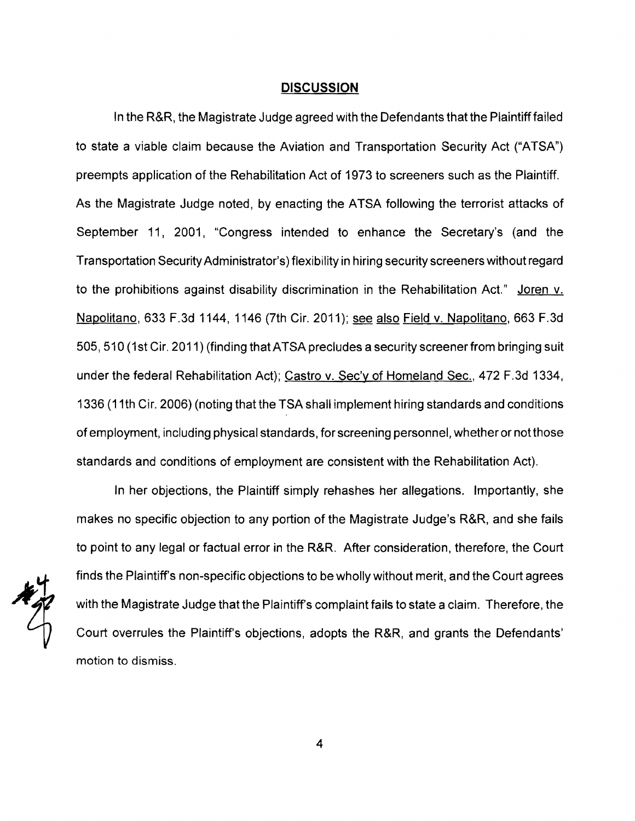#### **DISCUSSION**

In the R&R, the Magistrate Judge agreed with the Defendants that the Plaintiff failed to state a viable claim because the Aviation and Transportation Security Act ("ATSA") preempts application of the Rehabilitation Act of 1973 to screeners such as the Plaintiff. As the Magistrate Judge noted, by enacting the ATSA following the terrorist attacks of September 11, 2001, "Congress intended to enhance the Secretary's (and the Transportation Security Administrator's) flexibility in hiring security screeners without regard to the prohibitions against disability discrimination in the Rehabilitation Act." Joren v. Napolitano, 633 F.3d 1144, 1146 (7th Cir. 2011); see also Field v. Napolitano, 663 F.3d 505,510 (1st Cir. 2011) (finding that AT SA precludes a security screener from bringing suit under the federal Rehabilitation Act); Castro v. Sec'y of Homeland Sec., 472 F.3d 1334, 1336 (11 th Cir. 2006) (noting that the TSA shall implement hiring standards and conditions of employment, including physical standards, for screening personnel, whether or not those standards and conditions of employment are consistent with the Rehabilitation Act).

In her objections, the Plaintiff simply rehashes her allegations. Importantly, she makes no specific objection to any portion of the Magistrate Judge's R&R, and she fails to point to any legal or factual error in the R&R. After consideration, therefore, the Court finds the Plaintiffs non-specific objections to be wholly without merit, and the Court agrees with the Magistrate Judge that the Plaintiffs complaint fails to state a claim. Therefore, the Court overrules the Plaintiff's objections, adopts the R&R, and grants the Defendants' motion to dismiss.

4